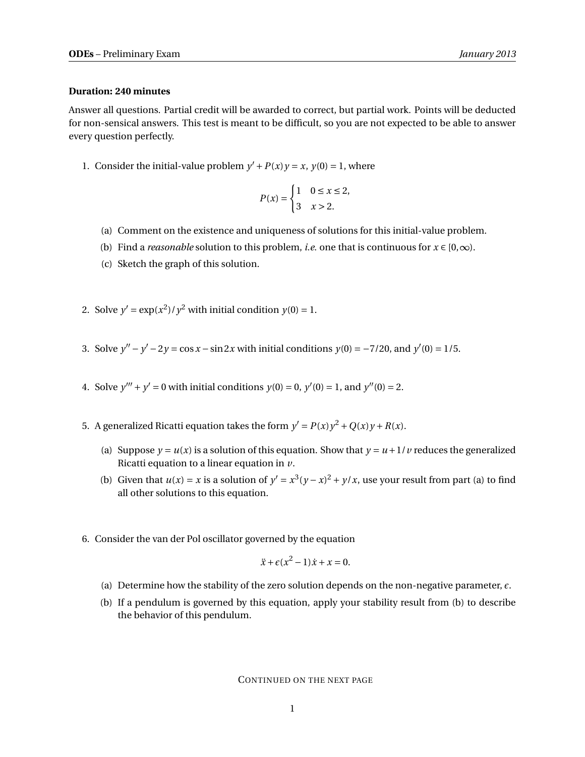## **Duration: 240 minutes**

Answer all questions. Partial credit will be awarded to correct, but partial work. Points will be deducted for non-sensical answers. This test is meant to be difficult, so you are not expected to be able to answer every question perfectly.

1. Consider the initial-value problem  $y' + P(x)y = x$ ,  $y(0) = 1$ , where

$$
P(x) = \begin{cases} 1 & 0 \le x \le 2, \\ 3 & x > 2. \end{cases}
$$

- (a) Comment on the existence and uniqueness of solutions for this initial-value problem.
- (b) Find a *reasonable* solution to this problem, *i.e.* one that is continuous for  $x \in [0, \infty)$ .
- (c) Sketch the graph of this solution.
- 2. Solve  $y' = \exp(x^2)/y^2$  with initial condition  $y(0) = 1$ .
- 3. Solve  $y'' y' 2y = \cos x \sin 2x$  with initial conditions  $y(0) = -7/20$ , and  $y'(0) = 1/5$ .
- 4. Solve  $y''' + y' = 0$  with initial conditions  $y(0) = 0$ ,  $y'(0) = 1$ , and  $y''(0) = 2$ .
- 5. A generalized Ricatti equation takes the form  $y' = P(x)y^2 + Q(x)y + R(x)$ .
	- (a) Suppose  $y = u(x)$  is a solution of this equation. Show that  $y = u + 1/v$  reduces the generalized Ricatti equation to a linear equation in *v*.
	- (b) Given that  $u(x) = x$  is a solution of  $y' = x^3(y x)^2 + y/x$ , use your result from part (a) to find all other solutions to this equation.
- 6. Consider the van der Pol oscillator governed by the equation

$$
\ddot{x} + \epsilon (x^2 - 1)\dot{x} + x = 0.
$$

- (a) Determine how the stability of the zero solution depends on the non-negative parameter,  $\epsilon$ .
- (b) If a pendulum is governed by this equation, apply your stability result from (b) to describe the behavior of this pendulum.

CONTINUED ON THE NEXT PAGE